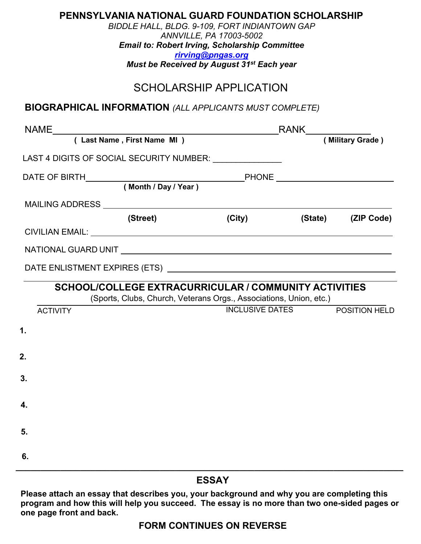| <b>PENNSYLVANIA NATIONAL GUARD FOUNDATION SCHOLARSHIP</b><br>BIDDLE HALL, BLDG. 9-109, FORT INDIANTOWN GAP<br>ANNVILLE, PA 17003-5002<br><b>Email to: Robert Irving, Scholarship Committee</b><br>rirving@pngas.org<br>Must be Received by August 31 <sup>st</sup> Each year<br><b>SCHOLARSHIP APPLICATION</b> |          |        |                        |                      |  |
|----------------------------------------------------------------------------------------------------------------------------------------------------------------------------------------------------------------------------------------------------------------------------------------------------------------|----------|--------|------------------------|----------------------|--|
| <b>BIOGRAPHICAL INFORMATION</b> (ALL APPLICANTS MUST COMPLETE)                                                                                                                                                                                                                                                 |          |        |                        |                      |  |
|                                                                                                                                                                                                                                                                                                                |          |        |                        |                      |  |
|                                                                                                                                                                                                                                                                                                                |          |        |                        |                      |  |
| LAST 4 DIGITS OF SOCIAL SECURITY NUMBER: ______________                                                                                                                                                                                                                                                        |          |        |                        |                      |  |
|                                                                                                                                                                                                                                                                                                                |          |        |                        |                      |  |
|                                                                                                                                                                                                                                                                                                                |          |        |                        |                      |  |
|                                                                                                                                                                                                                                                                                                                |          |        |                        |                      |  |
|                                                                                                                                                                                                                                                                                                                | (Street) | (City) |                        | (State) (ZIP Code)   |  |
|                                                                                                                                                                                                                                                                                                                |          |        |                        |                      |  |
|                                                                                                                                                                                                                                                                                                                |          |        |                        |                      |  |
| SCHOOL/COLLEGE EXTRACURRICULAR / COMMUNITY ACTIVITIES<br>(Sports, Clubs, Church, Veterans Orgs., Associations, Union, etc.)                                                                                                                                                                                    |          |        |                        |                      |  |
| <b>ACTIVITY</b>                                                                                                                                                                                                                                                                                                |          |        | <b>INCLUSIVE DATES</b> | <b>POSITION HELD</b> |  |
| 1.                                                                                                                                                                                                                                                                                                             |          |        |                        |                      |  |
| 2.                                                                                                                                                                                                                                                                                                             |          |        |                        |                      |  |
|                                                                                                                                                                                                                                                                                                                |          |        |                        |                      |  |
| 3.                                                                                                                                                                                                                                                                                                             |          |        |                        |                      |  |
| 4.                                                                                                                                                                                                                                                                                                             |          |        |                        |                      |  |
| 5.                                                                                                                                                                                                                                                                                                             |          |        |                        |                      |  |
| 6.                                                                                                                                                                                                                                                                                                             |          |        |                        |                      |  |

#### **ESSAY**

**Please attach an essay that describes you, your background and why you are completing this program and how this will help you succeed. The essay is no more than two one-sided pages or one page front and back.**

### **FORM CONTINUES ON REVERSE**